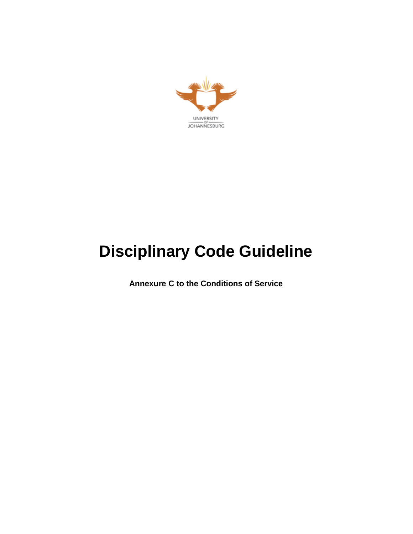

# **Disciplinary Code Guideline**

**Annexure C to the Conditions of Service**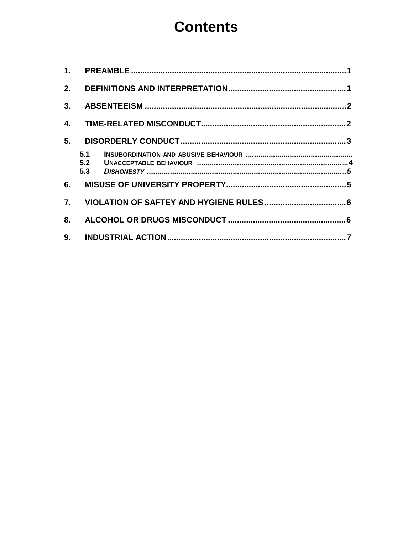# **Contents**

| 1.               |                   |  |
|------------------|-------------------|--|
| 2.               |                   |  |
| 3.               |                   |  |
| 4.               |                   |  |
| 5.               |                   |  |
|                  | 5.1<br>5.2<br>5.3 |  |
| 6.               |                   |  |
| $\overline{7}$ . |                   |  |
| 8.               |                   |  |
| 9.               |                   |  |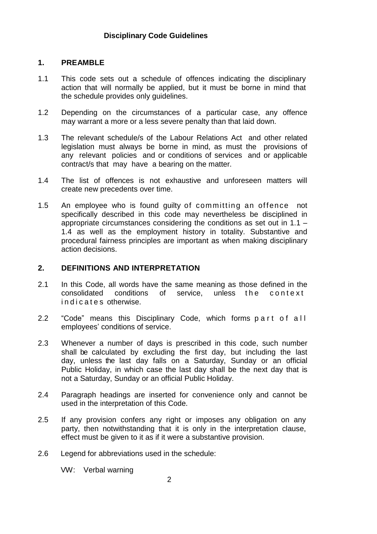#### **1. PREAMBLE**

- 1.1 This code sets out a schedule of offences indicating the disciplinary action that will normally be applied, but it must be borne in mind that the schedule provides only guidelines.
- 1.2 Depending on the circumstances of a particular case, any offence may warrant a more or a less severe penalty than that laid down.
- 1.3 The relevant schedule/s of the Labour Relations Act and other related legislation must always be borne in mind, as must the provisions of any relevant policies and or conditions of services and or applicable contract/s that may have a bearing on the matter.
- 1.4 The list of offences is not exhaustive and unforeseen matters will create new precedents over time.
- 1.5 An employee who is found quilty of committing an offence not specifically described in this code may nevertheless be disciplined in appropriate circumstances considering the conditions as set out in 1.1 – 1.4 as well as the employment history in totality. Substantive and procedural fairness principles are important as when making disciplinary action decisions.

#### **2. DEFINITIONS AND INTERPRETATION**

- 2.1 In this Code, all words have the same meaning as those defined in the consolidated conditions of service, unless the context in dicates otherwise.
- 2.2 "Code" means this Disciplinary Code, which forms part of all employees' conditions of service.
- 2.3 Whenever a number of days is prescribed in this code, such number shall be calculated by excluding the first day, but including the last day, unless the last day falls on a Saturday, Sunday or an official Public Holiday, in which case the last day shall be the next day that is not a Saturday, Sunday or an official Public Holiday.
- 2.4 Paragraph headings are inserted for convenience only and cannot be used in the interpretation of this Code.
- 2.5 If any provision confers any right or imposes any obligation on any party, then notwithstanding that it is only in the interpretation clause, effect must be given to it as if it were a substantive provision.
- 2.6 Legend for abbreviations used in the schedule:

VW: Verbal warning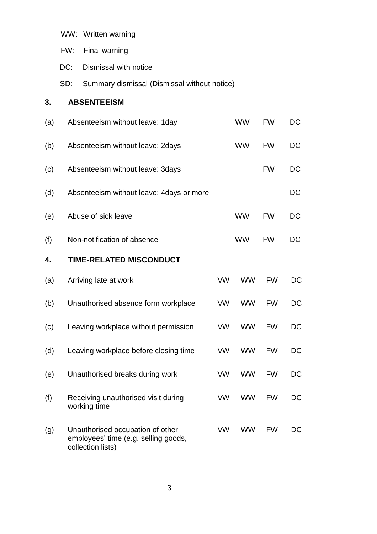|     | FW: | Final warning                                                                                 |           |           |           |           |
|-----|-----|-----------------------------------------------------------------------------------------------|-----------|-----------|-----------|-----------|
|     | DC: | Dismissal with notice                                                                         |           |           |           |           |
|     | SD: | Summary dismissal (Dismissal without notice)                                                  |           |           |           |           |
| 3.  |     | <b>ABSENTEEISM</b>                                                                            |           |           |           |           |
| (a) |     | Absenteeism without leave: 1day                                                               |           | <b>WW</b> | <b>FW</b> | <b>DC</b> |
| (b) |     | Absenteeism without leave: 2days                                                              |           | <b>WW</b> | <b>FW</b> | DC        |
| (c) |     | Absenteeism without leave: 3days                                                              |           |           | <b>FW</b> | DC        |
| (d) |     | Absenteeism without leave: 4days or more                                                      |           |           |           | DC        |
| (e) |     | Abuse of sick leave                                                                           |           | <b>WW</b> | <b>FW</b> | DC        |
| (f) |     | Non-notification of absence                                                                   |           | <b>WW</b> | <b>FW</b> | <b>DC</b> |
| 4.  |     | TIME-RELATED MISCONDUCT                                                                       |           |           |           |           |
| (a) |     | Arriving late at work                                                                         | <b>VW</b> | <b>WW</b> | <b>FW</b> | DC        |
| (b) |     | Unauthorised absence form workplace                                                           | <b>VW</b> | <b>WW</b> | <b>FW</b> | <b>DC</b> |
| (c) |     | Leaving workplace without permission                                                          | VW.       | <b>WW</b> | <b>FW</b> | DC        |
| (d) |     | Leaving workplace before closing time                                                         | <b>VW</b> | <b>WW</b> | <b>FW</b> | <b>DC</b> |
| (e) |     | Unauthorised breaks during work                                                               | VW        | <b>WW</b> | <b>FW</b> | DC        |
| (f) |     | Receiving unauthorised visit during<br>working time                                           | VW        | <b>WW</b> | <b>FW</b> | DC.       |
| (g) |     | Unauthorised occupation of other<br>employees' time (e.g. selling goods,<br>collection lists) | <b>VW</b> | <b>WW</b> | <b>FW</b> | DC        |

WW: Written warning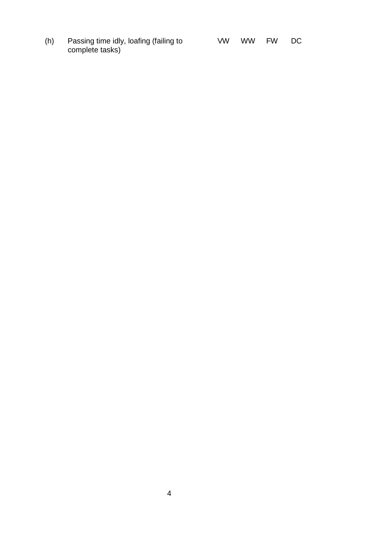(h) Passing time idly, loafing (failing to VW WW FW DC complete tasks)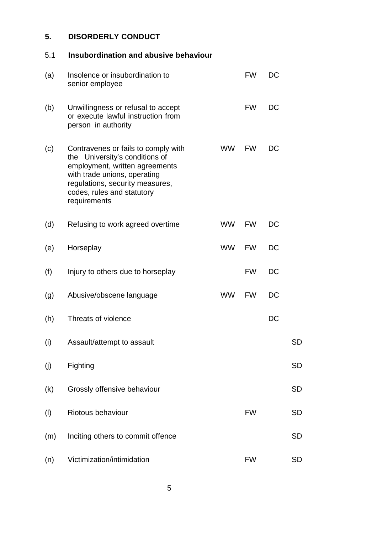### **5. DISORDERLY CONDUCT**

## 5.1 **Insubordination and abusive behaviour**

| (a) | Insolence or insubordination to<br>senior employee                                                                                                                                                                       |           | <b>FW</b> | DC        |           |
|-----|--------------------------------------------------------------------------------------------------------------------------------------------------------------------------------------------------------------------------|-----------|-----------|-----------|-----------|
| (b) | Unwillingness or refusal to accept<br>or execute lawful instruction from<br>person in authority                                                                                                                          |           | <b>FW</b> | DC        |           |
| (c) | Contravenes or fails to comply with<br>the University's conditions of<br>employment, written agreements<br>with trade unions, operating<br>regulations, security measures,<br>codes, rules and statutory<br>requirements | <b>WW</b> | <b>FW</b> | DC        |           |
| (d) | Refusing to work agreed overtime                                                                                                                                                                                         | <b>WW</b> | <b>FW</b> | DC        |           |
| (e) | Horseplay                                                                                                                                                                                                                | <b>WW</b> | <b>FW</b> | DC        |           |
| (f) | Injury to others due to horseplay                                                                                                                                                                                        |           | <b>FW</b> | DC        |           |
| (g) | Abusive/obscene language                                                                                                                                                                                                 | <b>WW</b> | <b>FW</b> | DC        |           |
| (h) | Threats of violence                                                                                                                                                                                                      |           |           | <b>DC</b> |           |
| (i) | Assault/attempt to assault                                                                                                                                                                                               |           |           |           | <b>SD</b> |
| (j) | Fighting                                                                                                                                                                                                                 |           |           |           | <b>SD</b> |
| (k) | Grossly offensive behaviour                                                                                                                                                                                              |           |           |           | <b>SD</b> |
| (1) | Riotous behaviour                                                                                                                                                                                                        |           | <b>FW</b> |           | <b>SD</b> |
| (m) | Inciting others to commit offence                                                                                                                                                                                        |           |           |           | <b>SD</b> |
| (n) | Victimization/intimidation                                                                                                                                                                                               |           | <b>FW</b> |           | <b>SD</b> |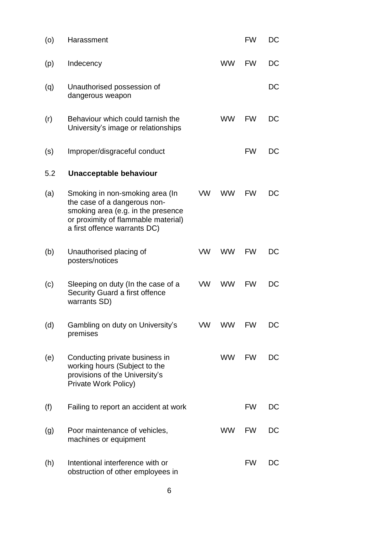| (0) | Harassment                                                                                                                                                                   |           |           | <b>FW</b> | DC        |
|-----|------------------------------------------------------------------------------------------------------------------------------------------------------------------------------|-----------|-----------|-----------|-----------|
| (p) | Indecency                                                                                                                                                                    |           | <b>WW</b> | <b>FW</b> | DC        |
| (q) | Unauthorised possession of<br>dangerous weapon                                                                                                                               |           |           |           | DC        |
| (r) | Behaviour which could tarnish the<br>University's image or relationships                                                                                                     |           | <b>WW</b> | <b>FW</b> | DC        |
| (s) | Improper/disgraceful conduct                                                                                                                                                 |           |           | <b>FW</b> | DC        |
| 5.2 | Unacceptable behaviour                                                                                                                                                       |           |           |           |           |
| (a) | Smoking in non-smoking area (In<br>the case of a dangerous non-<br>smoking area (e.g. in the presence<br>or proximity of flammable material)<br>a first offence warrants DC) | VW.       | <b>WW</b> | <b>FW</b> | DC        |
| (b) | Unauthorised placing of<br>posters/notices                                                                                                                                   | <b>VW</b> | <b>WW</b> | <b>FW</b> | DC        |
| (c) | Sleeping on duty (In the case of a<br>Security Guard a first offence<br>warrants SD)                                                                                         | <b>VW</b> | <b>WW</b> | <b>FW</b> | DC        |
| (d) | Gambling on duty on University's<br>premises                                                                                                                                 | <b>VW</b> | <b>WW</b> | <b>FW</b> | <b>DC</b> |
| (e) | Conducting private business in<br>working hours (Subject to the<br>provisions of the University's<br>Private Work Policy)                                                    |           | <b>WW</b> | <b>FW</b> | DC        |
| (f) | Failing to report an accident at work                                                                                                                                        |           |           | FW        | DC.       |
| (g) | Poor maintenance of vehicles,<br>machines or equipment                                                                                                                       |           | <b>WW</b> | <b>FW</b> | DC        |
| (h) | Intentional interference with or<br>obstruction of other employees in                                                                                                        |           |           | FW        | DC        |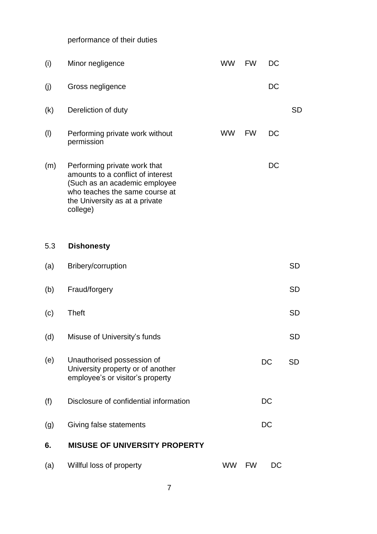performance of their duties

| (i) | Minor negligence                                                                                                                                                                   | <b>WW</b> | <b>FW</b> | DC |           |
|-----|------------------------------------------------------------------------------------------------------------------------------------------------------------------------------------|-----------|-----------|----|-----------|
| (j) | Gross negligence                                                                                                                                                                   |           |           | DC |           |
| (k) | Dereliction of duty                                                                                                                                                                |           |           |    | <b>SD</b> |
| (1) | Performing private work without<br>permission                                                                                                                                      | <b>WW</b> | <b>FW</b> | DC |           |
| (m) | Performing private work that<br>amounts to a conflict of interest<br>(Such as an academic employee<br>who teaches the same course at<br>the University as at a private<br>college) |           |           | DC |           |
| 5.3 | <b>Dishonesty</b>                                                                                                                                                                  |           |           |    |           |
| (a) | Bribery/corruption                                                                                                                                                                 |           |           |    | <b>SD</b> |
| (b) | Fraud/forgery                                                                                                                                                                      |           |           |    | <b>SD</b> |
| (c) | <b>Theft</b>                                                                                                                                                                       |           |           |    | <b>SD</b> |
| (d) | Misuse of University's funds                                                                                                                                                       |           |           |    | <b>SD</b> |
| (e) | Unauthorised possession of<br>University property or of another<br>employee's or visitor's property                                                                                |           |           | DC | <b>SD</b> |
| (f) | Disclosure of confidential information                                                                                                                                             |           |           | DC |           |
| (g) | Giving false statements                                                                                                                                                            |           |           | DC |           |
| 6.  | <b>MISUSE OF UNIVERSITY PROPERTY</b>                                                                                                                                               |           |           |    |           |
| (a) | Willful loss of property                                                                                                                                                           | WW.       | <b>FW</b> | DC |           |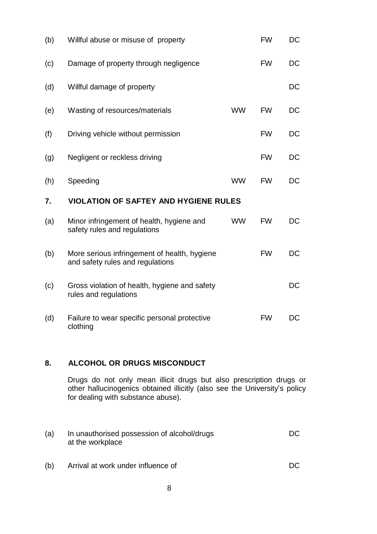| (b) | Willful abuse or misuse of property                                              |           | <b>FW</b> | <b>DC</b> |
|-----|----------------------------------------------------------------------------------|-----------|-----------|-----------|
| (c) | Damage of property through negligence                                            |           | <b>FW</b> | DC        |
| (d) | Willful damage of property                                                       |           |           | DC        |
| (e) | Wasting of resources/materials                                                   | <b>WW</b> | <b>FW</b> | DC        |
| (f) | Driving vehicle without permission                                               |           | <b>FW</b> | DC        |
| (g) | Negligent or reckless driving                                                    |           | <b>FW</b> | DC        |
| (h) | Speeding                                                                         | <b>WW</b> | <b>FW</b> | DC        |
| 7.  | <b>VIOLATION OF SAFTEY AND HYGIENE RULES</b>                                     |           |           |           |
| (a) | Minor infringement of health, hygiene and<br>safety rules and regulations        | <b>WW</b> | <b>FW</b> | <b>DC</b> |
| (b) | More serious infringement of health, hygiene<br>and safety rules and regulations |           | <b>FW</b> | <b>DC</b> |
| (c) | Gross violation of health, hygiene and safety<br>rules and regulations           |           |           | DC        |
| (d) | Failure to wear specific personal protective<br>clothing                         |           | <b>FW</b> | DC        |

#### **8. ALCOHOL OR DRUGS MISCONDUCT**

Drugs do not only mean illicit drugs but also prescription drugs or other hallucinogenics obtained illicitly (also see the University's policy for dealing with substance abuse).

- (a) In unauthorised possession of alcohol/drugs DC at the workplace
- (b) Arrival at work under influence of DC